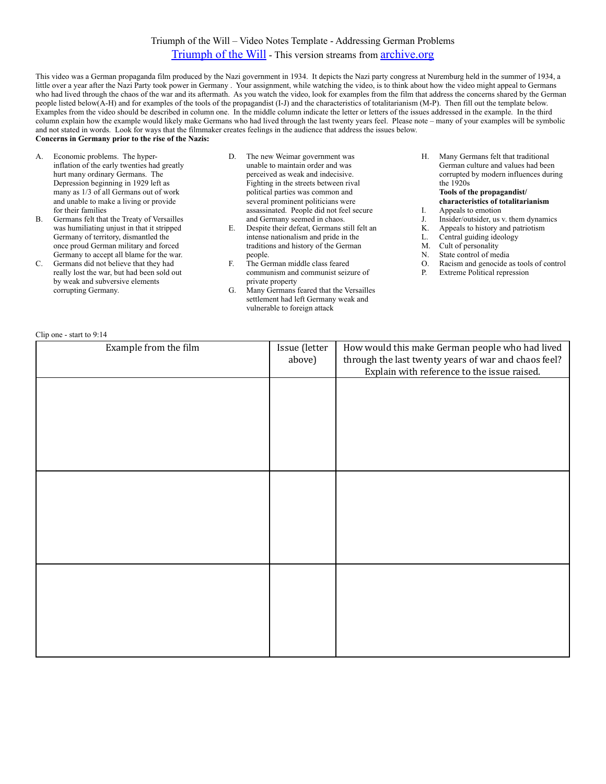## Triumph of the Will – Video Notes Template - Addressing German Problems

## [Triumph of the Will](https://archive.org/details/TriumphOfTheWillgermanTriumphDesWillens) - This version streams from [archive.org](http://archive.org)

This video was a German propaganda film produced by the Nazi government in 1934. It depicts the Nazi party congress at Nuremburg held in the summer of 1934, a little over a year after the Nazi Party took power in Germany . Your assignment, while watching the video, is to think about how the video might appeal to Germans who had lived through the chaos of the war and its aftermath. As you watch the video, look for examples from the film that address the concerns shared by the German people listed below(A-H) and for examples of the tools of the propagandist (I-J) and the characteristics of totalitarianism (M-P). Then fill out the template below. Examples from the video should be described in column one. In the middle column indicate the letter or letters of the issues addressed in the example. In the third column explain how the example would likely make Germans who had lived through the last twenty years feel. Please note – many of your examples will be symbolic and not stated in words. Look for ways that the filmmaker creates feelings in the audience that address the issues below. **Concerns in Germany prior to the rise of the Nazis:**

- A. Economic problems. The hyperinflation of the early twenties had greatly hurt many ordinary Germans. The Depression beginning in 1929 left as many as 1/3 of all Germans out of work and unable to make a living or provide for their families
- B. Germans felt that the Treaty of Versailles was humiliating unjust in that it stripped Germany of territory, dismantled the once proud German military and forced Germany to accept all blame for the war.
- C. Germans did not believe that they had really lost the war, but had been sold out by weak and subversive elements corrupting Germany.
- D. The new Weimar government was unable to maintain order and was perceived as weak and indecisive. Fighting in the streets between rival political parties was common and several prominent politicians were assassinated. People did not feel secure and Germany seemed in chaos.
- E. Despite their defeat, Germans still felt an intense nationalism and pride in the traditions and history of the German people.
- F. The German middle class feared communism and communist seizure of private property
- G. Many Germans feared that the Versailles settlement had left Germany weak and vulnerable to foreign attack
- H. Many Germans felt that traditional German culture and values had been corrupted by modern influences during the 1920s **Tools of the propagandist/**
- **characteristics of totalitarianism**
- I. Appeals to emotion
- J. Insider/outsider, us v. them dynamics
- K. Appeals to history and patriotism
- L. Central guiding ideology
- M. Cult of personality
- N. State control of media
- O. Racism and genocide as tools of control
- P. Extreme Political repression

## Clip one - start to 9:14

| Example from the film | Issue (letter<br>above) | How would this make German people who had lived<br>through the last twenty years of war and chaos feel?<br>Explain with reference to the issue raised. |
|-----------------------|-------------------------|--------------------------------------------------------------------------------------------------------------------------------------------------------|
|                       |                         |                                                                                                                                                        |
|                       |                         |                                                                                                                                                        |
|                       |                         |                                                                                                                                                        |
|                       |                         |                                                                                                                                                        |
|                       |                         |                                                                                                                                                        |
|                       |                         |                                                                                                                                                        |
|                       |                         |                                                                                                                                                        |
|                       |                         |                                                                                                                                                        |
|                       |                         |                                                                                                                                                        |
|                       |                         |                                                                                                                                                        |
|                       |                         |                                                                                                                                                        |